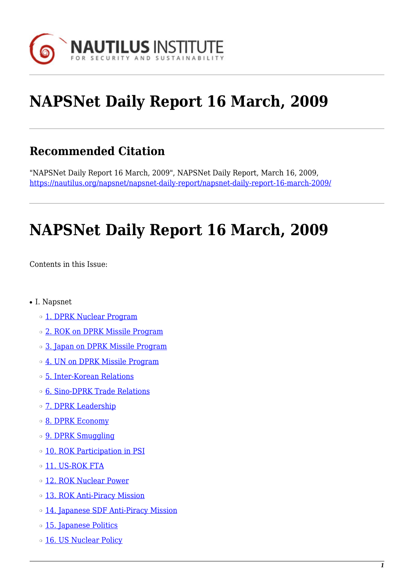

# **NAPSNet Daily Report 16 March, 2009**

## **Recommended Citation**

"NAPSNet Daily Report 16 March, 2009", NAPSNet Daily Report, March 16, 2009, <https://nautilus.org/napsnet/napsnet-daily-report/napsnet-daily-report-16-march-2009/>

# **NAPSNet Daily Report 16 March, 2009**

<span id="page-0-0"></span>Contents in this Issue:

- I. Napsnet
	- ❍ [1. DPRK Nuclear Program](#page-1-0)
	- $\circ$  [2. ROK on DPRK Missile Program](#page-1-1)
	- ❍ [3. Japan on DPRK Missile Program](#page-1-2)
	- o [4. UN on DPRK Missile Program](#page-2-0)
	- ❍ [5. Inter-Korean Relations](#page-2-1)
	- ❍ [6. Sino-DPRK Trade Relations](#page-2-2)
	- o [7. DPRK Leadership](#page-3-0)
	- o [8. DPRK Economy](#page-3-1)
	- o **[9. DPRK Smuggling](#page-3-2)**
	- ❍ [10. ROK Participation in PSI](#page-3-3)
	- o [11. US-ROK FTA](#page-4-0)
	- ❍ [12. ROK Nuclear Power](#page-4-1)
	- o [13. ROK Anti-Piracy Mission](#page-4-2)
	- ❍ [14. Japanese SDF Anti-Piracy Mission](#page-4-3)
	- o [15. Japanese Politics](#page-5-0)
	- o [16. US Nuclear Policy](#page-5-1)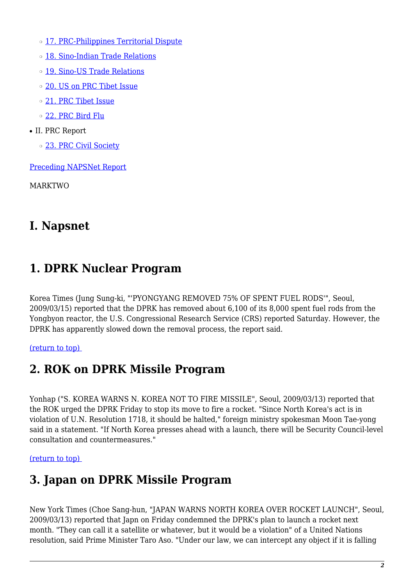o [17. PRC-Philippines Territorial Dispute](#page-5-2)

- o [18. Sino-Indian Trade Relations](#page-6-0)
- o [19. Sino-US Trade Relations](#page-6-1)
- ❍ [20. US on PRC Tibet Issue](#page-6-2)
- ❍ [21. PRC Tibet Issue](#page-6-3)
- ❍ [22. PRC Bird Flu](#page-7-0)
- II. PRC Report
	- o [23. PRC Civil Society](#page-7-1)

[Preceding NAPSNet Report](https://nautilus.org/mailing-lists/napsnet/dr/2009-2/napsnet-daily-report-13-march-2009/)

MARKTWO

### **I. Napsnet**

### <span id="page-1-0"></span>**1. DPRK Nuclear Program**

Korea Times (Jung Sung-ki, "'PYONGYANG REMOVED 75% OF SPENT FUEL RODS'", Seoul, 2009/03/15) reported that the DPRK has removed about 6,100 of its 8,000 spent fuel rods from the Yongbyon reactor, the U.S. Congressional Research Service (CRS) reported Saturday. However, the DPRK has apparently slowed down the removal process, the report said.

#### <span id="page-1-1"></span>[\(return to top\)](#page-0-0)

### **2. ROK on DPRK Missile Program**

Yonhap ("S. KOREA WARNS N. KOREA NOT TO FIRE MISSILE", Seoul, 2009/03/13) reported that the ROK urged the DPRK Friday to stop its move to fire a rocket. "Since North Korea's act is in violation of U.N. Resolution 1718, it should be halted," foreign ministry spokesman Moon Tae-yong said in a statement. "If North Korea presses ahead with a launch, there will be Security Council-level consultation and countermeasures."

#### <span id="page-1-2"></span>[\(return to top\)](#page-0-0)

### **3. Japan on DPRK Missile Program**

New York Times (Choe Sang-hun, "JAPAN WARNS NORTH KOREA OVER ROCKET LAUNCH", Seoul, 2009/03/13) reported that Japn on Friday condemned the DPRK's plan to launch a rocket next month. "They can call it a satellite or whatever, but it would be a violation" of a United Nations resolution, said Prime Minister Taro Aso. "Under our law, we can intercept any object if it is falling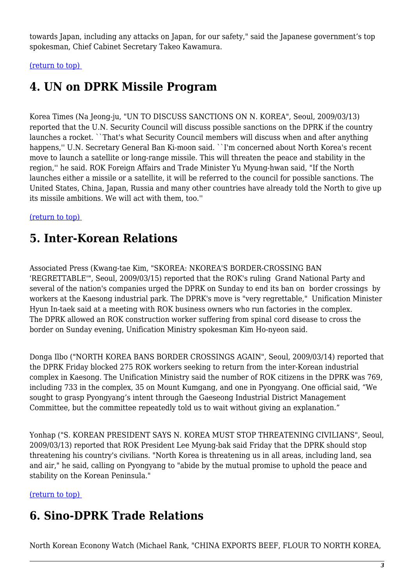towards Japan, including any attacks on Japan, for our safety," said the Japanese government's top spokesman, Chief Cabinet Secretary Takeo Kawamura.

<span id="page-2-0"></span>[\(return to top\)](#page-0-0) 

# **4. UN on DPRK Missile Program**

Korea Times (Na Jeong-ju, "UN TO DISCUSS SANCTIONS ON N. KOREA", Seoul, 2009/03/13) reported that the U.N. Security Council will discuss possible sanctions on the DPRK if the country launches a rocket. ``That's what Security Council members will discuss when and after anything happens,'' U.N. Secretary General Ban Ki-moon said. ``I'm concerned about North Korea's recent move to launch a satellite or long-range missile. This will threaten the peace and stability in the region,'' he said. ROK Foreign Affairs and Trade Minister Yu Myung-hwan said, "If the North launches either a missile or a satellite, it will be referred to the council for possible sanctions. The United States, China, Japan, Russia and many other countries have already told the North to give up its missile ambitions. We will act with them, too.''

#### <span id="page-2-1"></span>[\(return to top\)](#page-0-0)

### **5. Inter-Korean Relations**

Associated Press (Kwang-tae Kim, "SKOREA: NKOREA'S BORDER-CROSSING BAN 'REGRETTABLE'", Seoul, 2009/03/15) reported that the ROK's ruling Grand National Party and several of the nation's companies urged the DPRK on Sunday to end its ban on border crossings by workers at the Kaesong industrial park. The DPRK's move is "very regrettable," Unification Minister Hyun In-taek said at a meeting with ROK business owners who run factories in the complex. The DPRK allowed an ROK construction worker suffering from spinal cord disease to cross the border on Sunday evening, Unification Ministry spokesman Kim Ho-nyeon said.

Donga Ilbo ("NORTH KOREA BANS BORDER CROSSINGS AGAIN", Seoul, 2009/03/14) reported that the DPRK Friday blocked 275 ROK workers seeking to return from the inter-Korean industrial complex in Kaesong. The Unification Ministry said the number of ROK citizens in the DPRK was 769, including 733 in the complex, 35 on Mount Kumgang, and one in Pyongyang. One official said, "We sought to grasp Pyongyang's intent through the Gaeseong Industrial District Management Committee, but the committee repeatedly told us to wait without giving an explanation."

Yonhap ("S. KOREAN PRESIDENT SAYS N. KOREA MUST STOP THREATENING CIVILIANS", Seoul, 2009/03/13) reported that ROK President Lee Myung-bak said Friday that the DPRK should stop threatening his country's civilians. "North Korea is threatening us in all areas, including land, sea and air," he said, calling on Pyongyang to "abide by the mutual promise to uphold the peace and stability on the Korean Peninsula."

<span id="page-2-2"></span>[\(return to top\)](#page-0-0) 

# **6. Sino-DPRK Trade Relations**

North Korean Econony Watch (Michael Rank, "CHINA EXPORTS BEEF, FLOUR TO NORTH KOREA,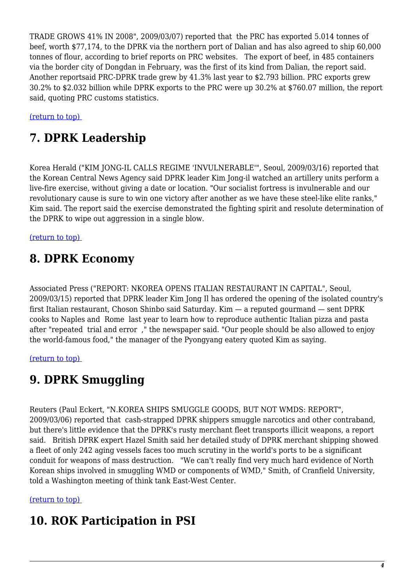TRADE GROWS 41% IN 2008", 2009/03/07) reported that the PRC has exported 5.014 tonnes of beef, worth \$77,174, to the DPRK via the northern port of Dalian and has also agreed to ship 60,000 tonnes of flour, according to brief reports on PRC websites. The export of beef, in 485 containers via the border city of Dongdan in February, was the first of its kind from Dalian, the report said. Another reportsaid PRC-DPRK trade grew by 41.3% last year to \$2.793 billion. PRC exports grew 30.2% to \$2.032 billion while DPRK exports to the PRC were up 30.2% at \$760.07 million, the report said, quoting PRC customs statistics.

<span id="page-3-0"></span>[\(return to top\)](#page-0-0) 

# **7. DPRK Leadership**

Korea Herald ("KIM JONG-IL CALLS REGIME 'INVULNERABLE'", Seoul, 2009/03/16) reported that the Korean Central News Agency said DPRK leader Kim Jong-il watched an artillery units perform a live-fire exercise, without giving a date or location. "Our socialist fortress is invulnerable and our revolutionary cause is sure to win one victory after another as we have these steel-like elite ranks," Kim said. The report said the exercise demonstrated the fighting spirit and resolute determination of the DPRK to wipe out aggression in a single blow.

<span id="page-3-1"></span>[\(return to top\)](#page-0-0) 

## **8. DPRK Economy**

Associated Press ("REPORT: NKOREA OPENS ITALIAN RESTAURANT IN CAPITAL", Seoul, 2009/03/15) reported that DPRK leader Kim Jong Il has ordered the opening of the isolated country's first Italian restaurant, Choson Shinbo said Saturday. Kim — a reputed gourmand — sent DPRK cooks to Naples and Rome last year to learn how to reproduce authentic Italian pizza and pasta after "repeated trial and error ," the newspaper said. "Our people should be also allowed to enjoy the world-famous food," the manager of the Pyongyang eatery quoted Kim as saying.

<span id="page-3-2"></span>[\(return to top\)](#page-0-0) 

# **9. DPRK Smuggling**

Reuters (Paul Eckert, "N.KOREA SHIPS SMUGGLE GOODS, BUT NOT WMDS: REPORT", 2009/03/06) reported that cash-strapped DPRK shippers smuggle narcotics and other contraband, but there's little evidence that the DPRK's rusty merchant fleet transports illicit weapons, a report said. British DPRK expert Hazel Smith said her detailed study of DPRK merchant shipping showed a fleet of only 242 aging vessels faces too much scrutiny in the world's ports to be a significant conduit for weapons of mass destruction. "We can't really find very much hard evidence of North Korean ships involved in smuggling WMD or components of WMD," Smith, of Cranfield University, told a Washington meeting of think tank East-West Center.

<span id="page-3-3"></span>[\(return to top\)](#page-0-0) 

### **10. ROK Participation in PSI**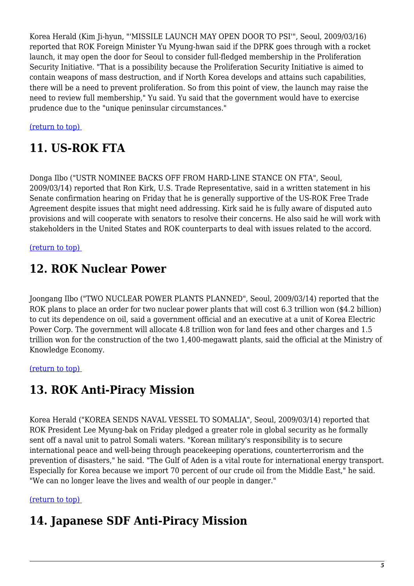Korea Herald (Kim Ji-hyun, "'MISSILE LAUNCH MAY OPEN DOOR TO PSI'", Seoul, 2009/03/16) reported that ROK Foreign Minister Yu Myung-hwan said if the DPRK goes through with a rocket launch, it may open the door for Seoul to consider full-fledged membership in the Proliferation Security Initiative. "That is a possibility because the Proliferation Security Initiative is aimed to contain weapons of mass destruction, and if North Korea develops and attains such capabilities, there will be a need to prevent proliferation. So from this point of view, the launch may raise the need to review full membership," Yu said. Yu said that the government would have to exercise prudence due to the "unique peninsular circumstances."

<span id="page-4-0"></span>[\(return to top\)](#page-0-0) 

## **11. US-ROK FTA**

Donga Ilbo ("USTR NOMINEE BACKS OFF FROM HARD-LINE STANCE ON FTA", Seoul, 2009/03/14) reported that Ron Kirk, U.S. Trade Representative, said in a written statement in his Senate confirmation hearing on Friday that he is generally supportive of the US-ROK Free Trade Agreement despite issues that might need addressing. Kirk said he is fully aware of disputed auto provisions and will cooperate with senators to resolve their concerns. He also said he will work with stakeholders in the United States and ROK counterparts to deal with issues related to the accord.

<span id="page-4-1"></span>[\(return to top\)](#page-0-0) 

# **12. ROK Nuclear Power**

Joongang Ilbo ("TWO NUCLEAR POWER PLANTS PLANNED", Seoul, 2009/03/14) reported that the ROK plans to place an order for two nuclear power plants that will cost 6.3 trillion won (\$4.2 billion) to cut its dependence on oil, said a government official and an executive at a unit of Korea Electric Power Corp. The government will allocate 4.8 trillion won for land fees and other charges and 1.5 trillion won for the construction of the two 1,400-megawatt plants, said the official at the Ministry of Knowledge Economy.

<span id="page-4-2"></span>[\(return to top\)](#page-0-0) 

# **13. ROK Anti-Piracy Mission**

Korea Herald ("KOREA SENDS NAVAL VESSEL TO SOMALIA", Seoul, 2009/03/14) reported that ROK President Lee Myung-bak on Friday pledged a greater role in global security as he formally sent off a naval unit to patrol Somali waters. "Korean military's responsibility is to secure international peace and well-being through peacekeeping operations, counterterrorism and the prevention of disasters," he said. "The Gulf of Aden is a vital route for international energy transport. Especially for Korea because we import 70 percent of our crude oil from the Middle East," he said. "We can no longer leave the lives and wealth of our people in danger."

#### <span id="page-4-3"></span>[\(return to top\)](#page-0-0)

# **14. Japanese SDF Anti-Piracy Mission**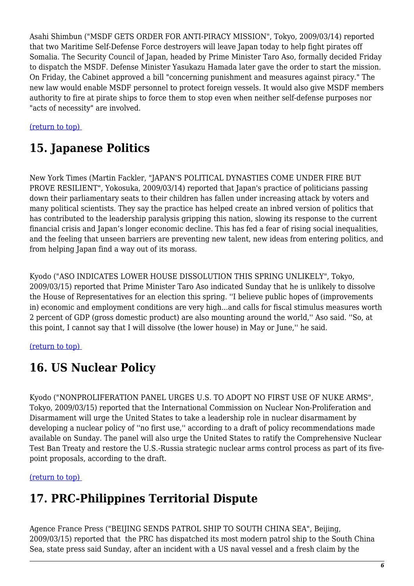Asahi Shimbun ("MSDF GETS ORDER FOR ANTI-PIRACY MISSION", Tokyo, 2009/03/14) reported that two Maritime Self-Defense Force destroyers will leave Japan today to help fight pirates off Somalia. The Security Council of Japan, headed by Prime Minister Taro Aso, formally decided Friday to dispatch the MSDF. Defense Minister Yasukazu Hamada later gave the order to start the mission. On Friday, the Cabinet approved a bill "concerning punishment and measures against piracy." The new law would enable MSDF personnel to protect foreign vessels. It would also give MSDF members authority to fire at pirate ships to force them to stop even when neither self-defense purposes nor "acts of necessity" are involved.

#### <span id="page-5-0"></span>[\(return to top\)](#page-0-0)

# **15. Japanese Politics**

New York Times (Martin Fackler, "JAPAN'S POLITICAL DYNASTIES COME UNDER FIRE BUT PROVE RESILIENT", Yokosuka, 2009/03/14) reported that Japan's practice of politicians passing down their parliamentary seats to their children has fallen under increasing attack by voters and many political scientists. They say the practice has helped create an inbred version of politics that has contributed to the leadership paralysis gripping this nation, slowing its response to the current financial crisis and Japan's longer economic decline. This has fed a fear of rising social inequalities, and the feeling that unseen barriers are preventing new talent, new ideas from entering politics, and from helping Japan find a way out of its morass.

Kyodo ("ASO INDICATES LOWER HOUSE DISSOLUTION THIS SPRING UNLIKELY", Tokyo, 2009/03/15) reported that Prime Minister Taro Aso indicated Sunday that he is unlikely to dissolve the House of Representatives for an election this spring. ''I believe public hopes of (improvements in) economic and employment conditions are very high...and calls for fiscal stimulus measures worth 2 percent of GDP (gross domestic product) are also mounting around the world,'' Aso said. ''So, at this point, I cannot say that I will dissolve (the lower house) in May or June,'' he said.

#### <span id="page-5-1"></span>[\(return to top\)](#page-0-0)

### **16. US Nuclear Policy**

Kyodo ("NONPROLIFERATION PANEL URGES U.S. TO ADOPT NO FIRST USE OF NUKE ARMS", Tokyo, 2009/03/15) reported that the International Commission on Nuclear Non-Proliferation and Disarmament will urge the United States to take a leadership role in nuclear disarmament by developing a nuclear policy of ''no first use,'' according to a draft of policy recommendations made available on Sunday. The panel will also urge the United States to ratify the Comprehensive Nuclear Test Ban Treaty and restore the U.S.-Russia strategic nuclear arms control process as part of its fivepoint proposals, according to the draft.

#### <span id="page-5-2"></span>[\(return to top\)](#page-0-0)

# **17. PRC-Philippines Territorial Dispute**

Agence France Press ("BEIJING SENDS PATROL SHIP TO SOUTH CHINA SEA", Beijing, 2009/03/15) reported that the PRC has dispatched its most modern patrol ship to the South China Sea, state press said Sunday, after an incident with a US naval vessel and a fresh claim by the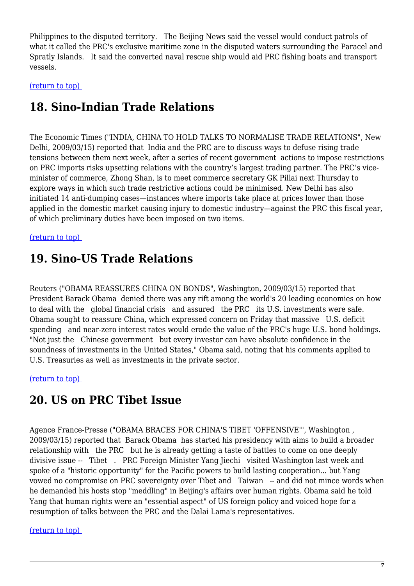Philippines to the disputed territory. The Beijing News said the vessel would conduct patrols of what it called the PRC's exclusive maritime zone in the disputed waters surrounding the Paracel and Spratly Islands. It said the converted naval rescue ship would aid PRC fishing boats and transport vessels.

<span id="page-6-0"></span>[\(return to top\)](#page-0-0) 

# **18. Sino-Indian Trade Relations**

The Economic Times ("INDIA, CHINA TO HOLD TALKS TO NORMALISE TRADE RELATIONS", New Delhi, 2009/03/15) reported that India and the PRC are to discuss ways to defuse rising trade tensions between them next week, after a series of recent government actions to impose restrictions on PRC imports risks upsetting relations with the country's largest trading partner. The PRC's viceminister of commerce, Zhong Shan, is to meet commerce secretary GK Pillai next Thursday to explore ways in which such trade restrictive actions could be minimised. New Delhi has also initiated 14 anti-dumping cases—instances where imports take place at prices lower than those applied in the domestic market causing injury to domestic industry—against the PRC this fiscal year, of which preliminary duties have been imposed on two items.

#### <span id="page-6-1"></span>[\(return to top\)](#page-0-0)

### **19. Sino-US Trade Relations**

Reuters ("OBAMA REASSURES CHINA ON BONDS", Washington, 2009/03/15) reported that President Barack Obama denied there was any rift among the world's 20 leading economies on how to deal with the global financial crisis and assured the PRC its U.S. investments were safe. Obama sought to reassure China, which expressed concern on Friday that massive U.S. deficit spending and near-zero interest rates would erode the value of the PRC's huge U.S. bond holdings. "Not just the Chinese government but every investor can have absolute confidence in the soundness of investments in the United States," Obama said, noting that his comments applied to U.S. Treasuries as well as investments in the private sector.

<span id="page-6-2"></span>[\(return to top\)](#page-0-0) 

### **20. US on PRC Tibet Issue**

Agence France-Presse ("OBAMA BRACES FOR CHINA'S TIBET 'OFFENSIVE'", Washington , 2009/03/15) reported that Barack Obama has started his presidency with aims to build a broader relationship with the PRC but he is already getting a taste of battles to come on one deeply divisive issue -- Tibet . PRC Foreign Minister Yang Jiechi visited Washington last week and spoke of a "historic opportunity" for the Pacific powers to build lasting cooperation... but Yang vowed no compromise on PRC sovereignty over Tibet and Taiwan -- and did not mince words when he demanded his hosts stop "meddling" in Beijing's affairs over human rights. Obama said he told Yang that human rights were an "essential aspect" of US foreign policy and voiced hope for a resumption of talks between the PRC and the Dalai Lama's representatives.

#### <span id="page-6-3"></span>[\(return to top\)](#page-0-0)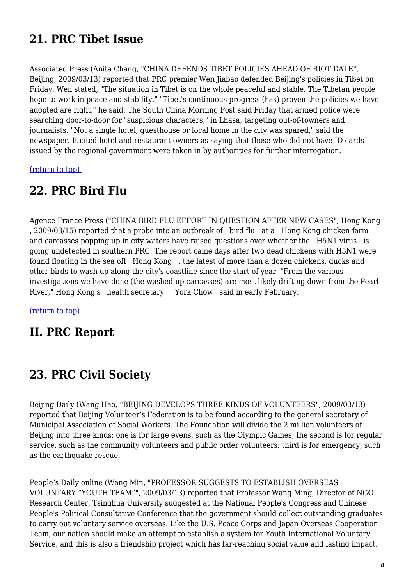# **21. PRC Tibet Issue**

Associated Press (Anita Chang, "CHINA DEFENDS TIBET POLICIES AHEAD OF RIOT DATE", Beijing, 2009/03/13) reported that PRC premier Wen Jiabao defended Beijing's policies in Tibet on Friday. Wen stated, "The situation in Tibet is on the whole peaceful and stable. The Tibetan people hope to work in peace and stability." "Tibet's continuous progress (has) proven the policies we have adopted are right," he said. The South China Morning Post said Friday that armed police were searching door-to-door for "suspicious characters," in Lhasa, targeting out-of-towners and journalists. "Not a single hotel, guesthouse or local home in the city was spared," said the newspaper. It cited hotel and restaurant owners as saying that those who did not have ID cards issued by the regional government were taken in by authorities for further interrogation.

<span id="page-7-0"></span>[\(return to top\)](#page-0-0) 

### **22. PRC Bird Flu**

Agence France Press ("CHINA BIRD FLU EFFORT IN QUESTION AFTER NEW CASES", Hong Kong , 2009/03/15) reported that a probe into an outbreak of bird flu at a Hong Kong chicken farm and carcasses popping up in city waters have raised questions over whether the H5N1 virus is going undetected in southern PRC. The report came days after two dead chickens with H5N1 were found floating in the sea off Hong Kong , the latest of more than a dozen chickens, ducks and other birds to wash up along the city's coastline since the start of year. "From the various investigations we have done (the washed-up carcasses) are most likely drifting down from the Pearl River," Hong Kong's health secretary York Chow said in early February.

[\(return to top\)](#page-0-0) 

### **II. PRC Report**

### <span id="page-7-1"></span>**23. PRC Civil Society**

Beijing Daily (Wang Hao, "BEIJING DEVELOPS THREE KINDS OF VOLUNTEERS", 2009/03/13) reported that Beijing Volunteer's Federation is to be found according to the general secretary of Municipal Association of Social Workers. The Foundation will divide the 2 million volunteers of Beijing into three kinds: one is for large evens, such as the Olympic Games; the second is for regular service, such as the community volunteers and public order volunteers; third is for emergency, such as the earthquake rescue.

People's Daily online (Wang Min, "PROFESSOR SUGGESTS TO ESTABLISH OVERSEAS VOLUNTARY "YOUTH TEAM"", 2009/03/13) reported that Professor Wang Ming, Director of NGO Research Center, Tsinghua University suggested at the National People's Congress and Chinese People's Political Consultative Conference that the government should collect outstanding graduates to carry out voluntary service overseas. Like the U.S. Peace Corps and Japan Overseas Cooperation Team, our nation should make an attempt to establish a system for Youth International Voluntary Service, and this is also a friendship project which has far-reaching social value and lasting impact,